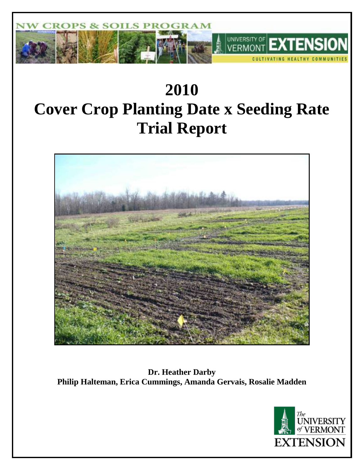

# **2010 Cover Crop Planting Date x Seeding Rate Trial Report**



**Dr. Heather Darby Philip Halteman, Erica Cummings, Amanda Gervais, Rosalie Madden**

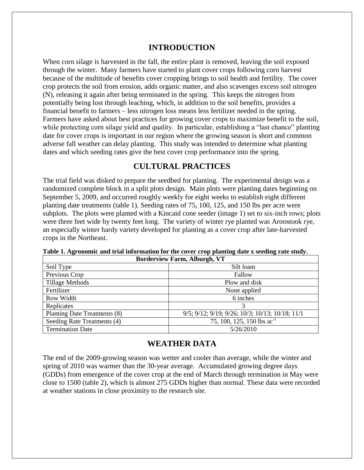# **INTRODUCTION**

When corn silage is harvested in the fall, the entire plant is removed, leaving the soil exposed through the winter. Many farmers have started to plant cover crops following corn harvest because of the multitude of benefits cover cropping brings to soil health and fertility. The cover crop protects the soil from erosion, adds organic matter, and also scavenges excess soil nitrogen (N), releasing it again after being terminated in the spring. This keeps the nitrogen from potentially being lost through leaching, which, in addition to the soil benefits, provides a financial benefit to farmers – less nitrogen loss means less fertilizer needed in the spring. Farmers have asked about best practices for growing cover crops to maximize benefit to the soil, while protecting corn silage yield and quality. In particular, establishing a "last chance" planting date for cover crops is important in our region where the growing season is short and common adverse fall weather can delay planting. This study was intended to determine what planting dates and which seeding rates give the best cover crop performance into the spring.

# **CULTURAL PRACTICES**

The trial field was disked to prepare the seedbed for planting. The experimental design was a randomized complete block in a split plots design. Main plots were planting dates beginning on September 5, 2009, and occurred roughly weekly for eight weeks to establish eight different planting date treatments (table 1). Seeding rates of 75, 100, 125, and 150 lbs per acre were subplots. The plots were planted with a Kincaid cone seeder (image 1) set to six-inch rows; plots were three feet wide by twenty feet long. The variety of winter rye planted was Aroostook rye, an especially winter hardy variety developed for planting as a cover crop after late-harvested crops in the Northeast.

| <b>Borderview Farm, Alburgh, VT</b> |                                                 |  |  |  |
|-------------------------------------|-------------------------------------------------|--|--|--|
| Soil Type                           | Silt loam                                       |  |  |  |
| Previous Crop                       | Fallow                                          |  |  |  |
| <b>Tillage Methods</b>              | Plow and disk                                   |  |  |  |
| Fertilizer                          | None applied                                    |  |  |  |
| Row Width                           | 6 inches                                        |  |  |  |
| Replicates                          | 3                                               |  |  |  |
| Planting Date Treatments (8)        | 9/5; 9/12; 9/19; 9/26; 10/3; 10/13; 10/18; 11/1 |  |  |  |
| Seeding Rate Treatments (4)         | 75, 100, 125, 150 lbs $ac^{-1}$                 |  |  |  |
| <b>Termination Date</b>             | 5/26/2010                                       |  |  |  |

**Table 1. Agronomic and trial information for the cover crop planting date x seeding rate study.**

# **WEATHER DATA**

The end of the 2009-growing season was wetter and cooler than average, while the winter and spring of 2010 was warmer than the 30-year average. Accumulated growing degree days (GDDs) from emergence of the cover crop at the end of March through termination in May were close to 1500 (table 2), which is almost 275 GDDs higher than normal. These data were recorded at weather stations in close proximity to the research site.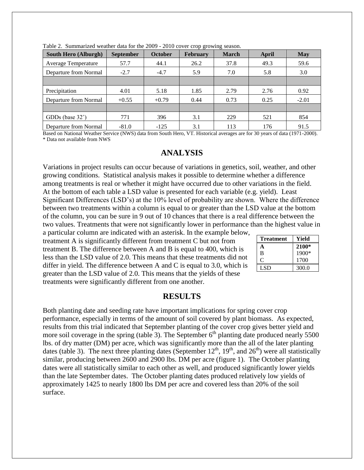| r o<br>$\circ$              |                  |                |                 |              |       |            |
|-----------------------------|------------------|----------------|-----------------|--------------|-------|------------|
| <b>South Hero (Alburgh)</b> | <b>September</b> | <b>October</b> | <b>February</b> | <b>March</b> | April | <b>May</b> |
| <b>Average Temperature</b>  | 57.7             | 44.1           | 26.2            | 37.8         | 49.3  | 59.6       |
| Departure from Normal       | $-2.7$           | $-4.7$         | 5.9             | 7.0          | 5.8   | 3.0        |
|                             |                  |                |                 |              |       |            |
| Precipitation               | 4.01             | 5.18           | 1.85            | 2.79         | 2.76  | 0.92       |
| Departure from Normal       | $+0.55$          | $+0.79$        | 0.44            | 0.73         | 0.25  | $-2.01$    |
|                             |                  |                |                 |              |       |            |
| GDDs (base $32^{\circ}$ )   | 771              | 396            | 3.1             | 229          | 521   | 854        |
| Departure from Normal       | $-81.0$          | $-125$         | 3.1             | 113          | 176   | 91.5       |

Table 2. Summarized weather data for the 2009 - 2010 cover crop growing season.

Based on National Weather Service (NWS) data from South Hero, VT. Historical averages are for 30 years of data (1971-2000). \* Data not available from NWS

#### **ANALYSIS**

Variations in project results can occur because of variations in genetics, soil, weather, and other growing conditions. Statistical analysis makes it possible to determine whether a difference among treatments is real or whether it might have occurred due to other variations in the field. At the bottom of each table a LSD value is presented for each variable (e.g. yield). Least Significant Differences (LSD's) at the 10% level of probability are shown. Where the difference between two treatments within a column is equal to or greater than the LSD value at the bottom of the column, you can be sure in 9 out of 10 chances that there is a real difference between the two values. Treatments that were not significantly lower in performance than the highest value in a particular column are indicated with an asterisk. In the example below,

treatment A is significantly different from treatment C but not from treatment B. The difference between A and B is equal to 400, which is less than the LSD value of 2.0. This means that these treatments did not differ in yield. The difference between A and C is equal to 3.0, which is greater than the LSD value of 2.0. This means that the yields of these treatments were significantly different from one another.

| <b>Treatment</b> | Yield   |
|------------------|---------|
| A                | 2100*   |
| B                | $1900*$ |
| 0                | 1700    |
| LSD.             | 300.0   |

## **RESULTS**

Both planting date and seeding rate have important implications for spring cover crop performance, especially in terms of the amount of soil covered by plant biomass. As expected, results from this trial indicated that September planting of the cover crop gives better yield and more soil coverage in the spring (table 3). The September  $6<sup>th</sup>$  planting date produced nearly 5500 lbs. of dry matter (DM) per acre, which was significantly more than the all of the later planting dates (table 3). The next three planting dates (September  $12^{th}$ ,  $19^{th}$ , and  $26^{th}$ ) were all statistically similar, producing between 2600 and 2900 lbs. DM per acre (figure 1). The October planting dates were all statistically similar to each other as well, and produced significantly lower yields than the late September dates. The October planting dates produced relatively low yields of approximately 1425 to nearly 1800 lbs DM per acre and covered less than 20% of the soil surface.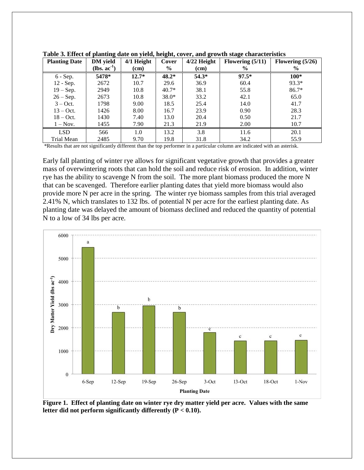| <b>Planting Date</b> | o<br><b>DM</b> yield | $4/1$ Height | $\bullet$<br>Cover | 0<br>$4/22$ Height | Flowering $(5/11)$ | Flowering $(5/26)$ |
|----------------------|----------------------|--------------|--------------------|--------------------|--------------------|--------------------|
|                      | $(lbs. ac-1)$        | (cm)         | $\%$               | (cm)               | $\%$               | $\%$               |
| $6 - Sep.$           | 5478*                | $12.7*$      | $48.2*$            | $54.3*$            | $97.5*$            | $100*$             |
| 12 - Sep.            | 2672                 | 10.7         | 29.6               | 36.9               | 60.4               | $93.3*$            |
| $19 - Sep.$          | 2949                 | 10.8         | $40.7*$            | 38.1               | 55.8               | $86.7*$            |
| $26 - Sep.$          | 2673                 | 10.8         | $38.0*$            | 33.2               | 42.1               | 65.0               |
| $3 - Oct.$           | 1798                 | 9.00         | 18.5               | 25.4               | 14.0               | 41.7               |
| $13 - Oct.$          | 1426                 | 8.00         | 16.7               | 23.9               | 0.90               | 28.3               |
| $18 - Oct.$          | 1430                 | 7.40         | 13.0               | 20.4               | 0.50               | 21.7               |
| $1 - Nov.$           | 1455                 | 7.90         | 21.3               | 21.9               | 2.00               | 10.7               |
| <b>LSD</b>           | 566                  | 1.0          | 13.2               | 3.8                | 11.6               | 20.1               |
| Trial Mean           | 2485                 | 9.70         | 19.8               | 31.8               | 34.2               | 55.9               |

**Table 3. Effect of planting date on yield, height, cover, and growth stage characteristics**

\*Results that are not significantly different than the top performer in a particular column are indicated with an asterisk.

Early fall planting of winter rye allows for significant vegetative growth that provides a greater mass of overwintering roots that can hold the soil and reduce risk of erosion. In addition, winter rye has the ability to scavenge N from the soil. The more plant biomass produced the more N that can be scavenged. Therefore earlier planting dates that yield more biomass would also provide more N per acre in the spring. The winter rye biomass samples from this trial averaged 2.41% N, which translates to 132 lbs. of potential N per acre for the earliest planting date. As planting date was delayed the amount of biomass declined and reduced the quantity of potential N to a low of 34 lbs per acre.



**Figure 1. Effect of planting date on winter rye dry matter yield per acre. Values with the same letter did not perform significantly differently (P < 0.10).**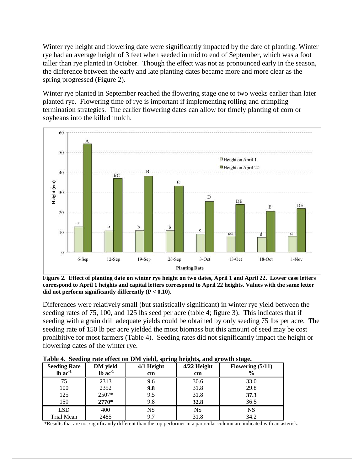Winter rye height and flowering date were significantly impacted by the date of planting. Winter rye had an average height of 3 feet when seeded in mid to end of September, which was a foot taller than rye planted in October. Though the effect was not as pronounced early in the season, the difference between the early and late planting dates became more and more clear as the spring progressed (Figure 2).

Winter rye planted in September reached the flowering stage one to two weeks earlier than later planted rye. Flowering time of rye is important if implementing rolling and crimpling termination strategies. The earlier flowering dates can allow for timely planting of corn or soybeans into the killed mulch.



**Figure 2. Effect of planting date on winter rye height on two dates, April 1 and April 22. Lower case letters correspond to April 1 heights and capital letters correspond to April 22 heights. Values with the same letter did not perform significantly differently (P < 0.10).**

Differences were relatively small (but statistically significant) in winter rye yield between the seeding rates of 75, 100, and 125 lbs seed per acre (table 4; figure 3). This indicates that if seeding with a grain drill adequate yields could be obtained by only seeding 75 lbs per acre. The seeding rate of 150 lb per acre yielded the most biomass but this amount of seed may be cost prohibitive for most farmers (Table 4). Seeding rates did not significantly impact the height or flowering dates of the winter rye.

| Table + became rate enect on DM yield, spring neights, and growth stage. |                 |              |               |                    |  |  |
|--------------------------------------------------------------------------|-----------------|--------------|---------------|--------------------|--|--|
| <b>Seeding Rate</b>                                                      | <b>DM</b> yield | $4/1$ Height | $4/22$ Height | Flowering $(5/11)$ |  |  |
| $lb$ ac $-1$                                                             | $lb$ ac $-1$    | cm           | cm            |                    |  |  |
| 75                                                                       | 2313            | 9.6          | 30.6          | 33.0               |  |  |
| 100                                                                      | 2352            | 9.8          | 31.8          | 29.8               |  |  |
| 125                                                                      | 2507*           | 9.5          | 31.8          | 37.3               |  |  |
| 150                                                                      | $2770*$         | 9.8          | 32.8          | 36.5               |  |  |
| <b>LSD</b>                                                               | 400             | NS           | NS            | NS                 |  |  |
| Trial Mean                                                               | 2485            | 9.7          | 31.8          | 34.2               |  |  |

| Table 4. Seeding rate effect on DM yield, spring heights, and growth stage. |  |  |
|-----------------------------------------------------------------------------|--|--|
|                                                                             |  |  |

\*Results that are not significantly different than the top performer in a particular column are indicated with an asterisk.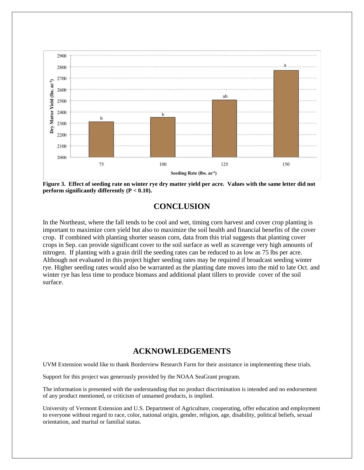

**Figure 3. Effect of seeding rate on winter rye dry matter yield per acre. Values with the same letter did not perform significantly differently (P < 0.10).**

# **CONCLUSION**

In the Northeast, where the fall tends to be cool and wet, timing corn harvest and cover crop planting is important to maximize corn yield but also to maximize the soil health and financial benefits of the cover crop. If combined with planting shorter season corn, data from this trial suggests that planting cover crops in Sep. can provide significant cover to the soil surface as well as scavenge very high amounts of nitrogen. If planting with a grain drill the seeding rates can be reduced to as low as 75 lbs per acre. Although not evaluated in this project higher seeding rates may be required if broadcast seeding winter rye. Higher seeding rates would also be warranted as the planting date moves into the mid to late Oct. and winter rye has less time to produce biomass and additional plant tillers to provide cover of the soil surface.

## **ACKNOWLEDGEMENTS**

UVM Extension would like to thank Borderview Research Farm for their assistance in implementing these trials.

Support for this project was generously provided by the NOAA SeaGrant program.

The information is presented with the understanding that no product discrimination is intended and no endorsement of any product mentioned, or criticism of unnamed products, is implied.

University of Vermont Extension and U.S. Department of Agriculture, cooperating, offer education and employment to everyone without regard to race, color, national origin, gender, religion, age, disability, political beliefs, sexual orientation, and marital or familial status.